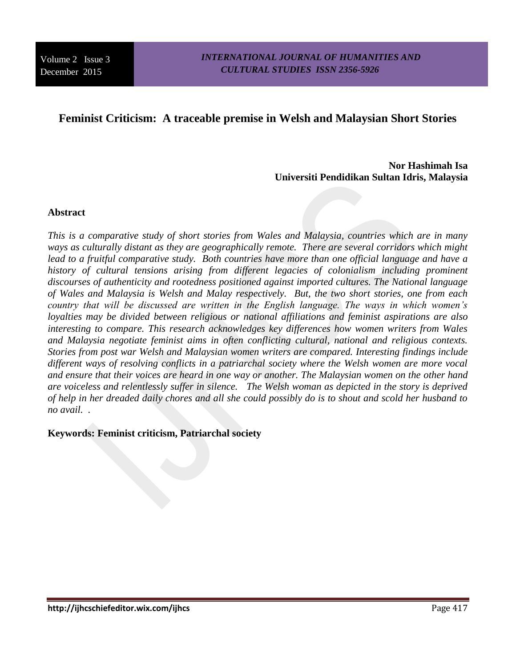# **Feminist Criticism: A traceable premise in Welsh and Malaysian Short Stories**

**Nor Hashimah Isa Universiti Pendidikan Sultan Idris, Malaysia**

### **Abstract**

*This is a comparative study of short stories from Wales and Malaysia, countries which are in many ways as culturally distant as they are geographically remote. There are several corridors which might*  lead to a fruitful comparative study. Both countries have more than one official language and have a history of cultural tensions arising from different legacies of colonialism including prominent *discourses of authenticity and rootedness positioned against imported cultures. The National language of Wales and Malaysia is Welsh and Malay respectively. But, the two short stories, one from each country that will be discussed are written in the English language. The ways in which women's loyalties may be divided between religious or national affiliations and feminist aspirations are also interesting to compare. This research acknowledges key differences how women writers from Wales and Malaysia negotiate feminist aims in often conflicting cultural, national and religious contexts. Stories from post war Welsh and Malaysian women writers are compared. Interesting findings include different ways of resolving conflicts in a patriarchal society where the Welsh women are more vocal and ensure that their voices are heard in one way or another. The Malaysian women on the other hand are voiceless and relentlessly suffer in silence. The Welsh woman as depicted in the story is deprived of help in her dreaded daily chores and all she could possibly do is to shout and scold her husband to no avail. .* 

**Keywords: Feminist criticism, Patriarchal society**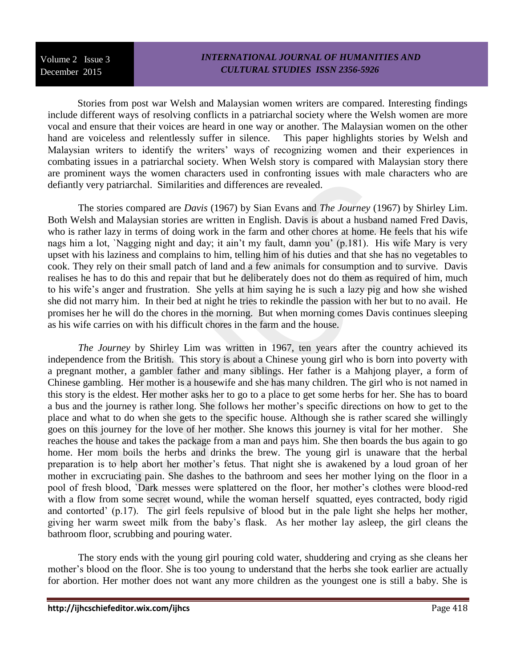Stories from post war Welsh and Malaysian women writers are compared. Interesting findings include different ways of resolving conflicts in a patriarchal society where the Welsh women are more vocal and ensure that their voices are heard in one way or another. The Malaysian women on the other hand are voiceless and relentlessly suffer in silence. This paper highlights stories by Welsh and Malaysian writers to identify the writers' ways of recognizing women and their experiences in combating issues in a patriarchal society. When Welsh story is compared with Malaysian story there are prominent ways the women characters used in confronting issues with male characters who are defiantly very patriarchal. Similarities and differences are revealed.

The stories compared are *Davis* (1967) by Sian Evans and *The Journey* (1967) by Shirley Lim. Both Welsh and Malaysian stories are written in English. Davis is about a husband named Fred Davis, who is rather lazy in terms of doing work in the farm and other chores at home. He feels that his wife nags him a lot, `Nagging night and day; it ain't my fault, damn you' (p.181). His wife Mary is very upset with his laziness and complains to him, telling him of his duties and that she has no vegetables to cook. They rely on their small patch of land and a few animals for consumption and to survive. Davis realises he has to do this and repair that but he deliberately does not do them as required of him, much to his wife's anger and frustration. She yells at him saying he is such a lazy pig and how she wished she did not marry him. In their bed at night he tries to rekindle the passion with her but to no avail. He promises her he will do the chores in the morning. But when morning comes Davis continues sleeping as his wife carries on with his difficult chores in the farm and the house.

*The Journey* by Shirley Lim was written in 1967, ten years after the country achieved its independence from the British. This story is about a Chinese young girl who is born into poverty with a pregnant mother, a gambler father and many siblings. Her father is a Mahjong player, a form of Chinese gambling. Her mother is a housewife and she has many children. The girl who is not named in this story is the eldest. Her mother asks her to go to a place to get some herbs for her. She has to board a bus and the journey is rather long. She follows her mother's specific directions on how to get to the place and what to do when she gets to the specific house. Although she is rather scared she willingly goes on this journey for the love of her mother. She knows this journey is vital for her mother. She reaches the house and takes the package from a man and pays him. She then boards the bus again to go home. Her mom boils the herbs and drinks the brew. The young girl is unaware that the herbal preparation is to help abort her mother's fetus. That night she is awakened by a loud groan of her mother in excruciating pain. She dashes to the bathroom and sees her mother lying on the floor in a pool of fresh blood, `Dark messes were splattered on the floor, her mother's clothes were blood-red with a flow from some secret wound, while the woman herself squatted, eyes contracted, body rigid and contorted' (p.17). The girl feels repulsive of blood but in the pale light she helps her mother, giving her warm sweet milk from the baby's flask. As her mother lay asleep, the girl cleans the bathroom floor, scrubbing and pouring water.

The story ends with the young girl pouring cold water, shuddering and crying as she cleans her mother's blood on the floor. She is too young to understand that the herbs she took earlier are actually for abortion. Her mother does not want any more children as the youngest one is still a baby. She is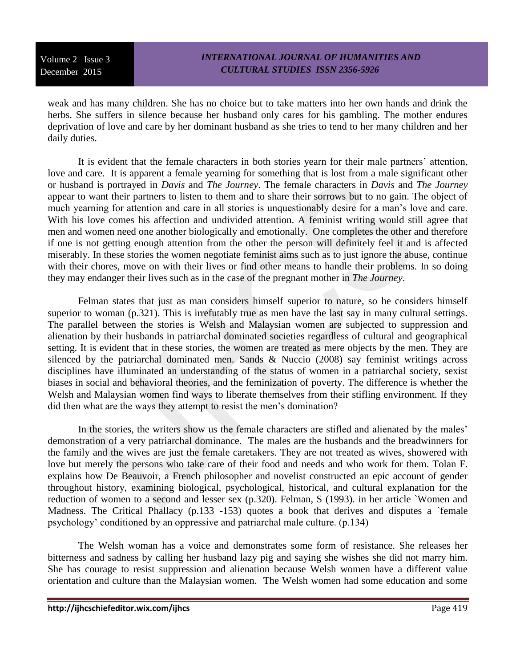weak and has many children. She has no choice but to take matters into her own hands and drink the herbs. She suffers in silence because her husband only cares for his gambling. The mother endures deprivation of love and care by her dominant husband as she tries to tend to her many children and her daily duties.

It is evident that the female characters in both stories yearn for their male partners' attention, love and care. It is apparent a female yearning for something that is lost from a male significant other or husband is portrayed in *Davis* and *The Journey*. The female characters in *Davis* and *The Journey* appear to want their partners to listen to them and to share their sorrows but to no gain. The object of much yearning for attention and care in all stories is unquestionably desire for a man's love and care. With his love comes his affection and undivided attention. A feminist writing would still agree that men and women need one another biologically and emotionally. One completes the other and therefore if one is not getting enough attention from the other the person will definitely feel it and is affected miserably. In these stories the women negotiate feminist aims such as to just ignore the abuse, continue with their chores, move on with their lives or find other means to handle their problems. In so doing they may endanger their lives such as in the case of the pregnant mother in *The Journey*.

Felman states that just as man considers himself superior to nature, so he considers himself superior to woman (p.321). This is irrefutably true as men have the last say in many cultural settings. The parallel between the stories is Welsh and Malaysian women are subjected to suppression and alienation by their husbands in patriarchal dominated societies regardless of cultural and geographical setting. It is evident that in these stories, the women are treated as mere objects by the men. They are silenced by the patriarchal dominated men. Sands & Nuccio (2008) say feminist writings across disciplines have illuminated an understanding of the status of women in a patriarchal society, sexist biases in social and behavioral theories, and the feminization of poverty. The difference is whether the Welsh and Malaysian women find ways to liberate themselves from their stifling environment. If they did then what are the ways they attempt to resist the men's domination?

In the stories, the writers show us the female characters are stifled and alienated by the males' demonstration of a very patriarchal dominance. The males are the husbands and the breadwinners for the family and the wives are just the female caretakers. They are not treated as wives, showered with love but merely the persons who take care of their food and needs and who work for them. Tolan F. explains how De Beauvoir, a French philosopher and novelist constructed an epic account of gender throughout history, examining biological, psychological, historical, and cultural explanation for the reduction of women to a second and lesser sex (p.320). Felman, S (1993). in her article `Women and Madness. The Critical Phallacy (p.133 -153) quotes a book that derives and disputes a 'female psychology' conditioned by an oppressive and patriarchal male culture. (p.134)

The Welsh woman has a voice and demonstrates some form of resistance. She releases her bitterness and sadness by calling her husband lazy pig and saying she wishes she did not marry him. She has courage to resist suppression and alienation because Welsh women have a different value orientation and culture than the Malaysian women. The Welsh women had some education and some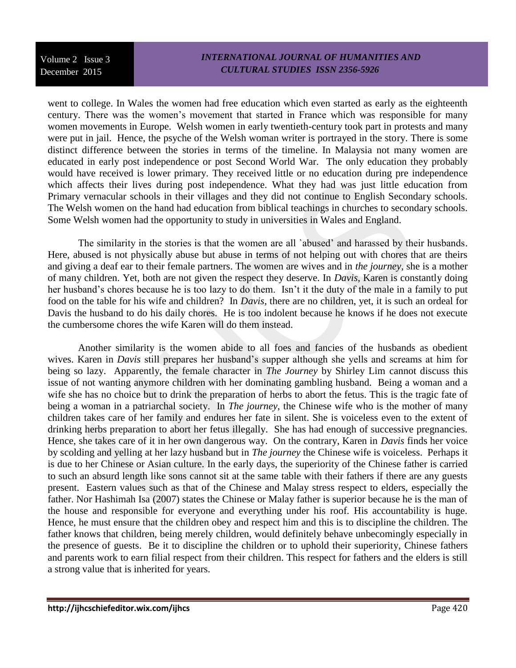## *INTERNATIONAL JOURNAL OF HUMANITIES AND CULTURAL STUDIES ISSN 2356-5926*

went to college. In Wales the women had free education which even started as early as the eighteenth century. There was the women's movement that started in France which was responsible for many women movements in Europe. Welsh women in early twentieth-century took part in protests and many were put in jail. Hence, the psyche of the Welsh woman writer is portrayed in the story. There is some distinct difference between the stories in terms of the timeline. In Malaysia not many women are educated in early post independence or post Second World War. The only education they probably would have received is lower primary. They received little or no education during pre independence which affects their lives during post independence. What they had was just little education from Primary vernacular schools in their villages and they did not continue to English Secondary schools. The Welsh women on the hand had education from biblical teachings in churches to secondary schools. Some Welsh women had the opportunity to study in universities in Wales and England.

The similarity in the stories is that the women are all `abused' and harassed by their husbands. Here, abused is not physically abuse but abuse in terms of not helping out with chores that are theirs and giving a deaf ear to their female partners. The women are wives and in *the journey*, she is a mother of many children. Yet, both are not given the respect they deserve. In *Davis*, Karen is constantly doing her husband's chores because he is too lazy to do them. Isn't it the duty of the male in a family to put food on the table for his wife and children? In *Davis*, there are no children, yet, it is such an ordeal for Davis the husband to do his daily chores. He is too indolent because he knows if he does not execute the cumbersome chores the wife Karen will do them instead.

Another similarity is the women abide to all foes and fancies of the husbands as obedient wives. Karen in *Davis* still prepares her husband's supper although she yells and screams at him for being so lazy. Apparently, the female character in *The Journey* by Shirley Lim cannot discuss this issue of not wanting anymore children with her dominating gambling husband. Being a woman and a wife she has no choice but to drink the preparation of herbs to abort the fetus. This is the tragic fate of being a woman in a patriarchal society. In *The journey*, the Chinese wife who is the mother of many children takes care of her family and endures her fate in silent. She is voiceless even to the extent of drinking herbs preparation to abort her fetus illegally. She has had enough of successive pregnancies. Hence, she takes care of it in her own dangerous way. On the contrary, Karen in *Davis* finds her voice by scolding and yelling at her lazy husband but in *The journey* the Chinese wife is voiceless. Perhaps it is due to her Chinese or Asian culture. In the early days, the superiority of the Chinese father is carried to such an absurd length like sons cannot sit at the same table with their fathers if there are any guests present. Eastern values such as that of the Chinese and Malay stress respect to elders, especially the father. Nor Hashimah Isa (2007) states the Chinese or Malay father is superior because he is the man of the house and responsible for everyone and everything under his roof. His accountability is huge. Hence, he must ensure that the children obey and respect him and this is to discipline the children. The father knows that children, being merely children, would definitely behave unbecomingly especially in the presence of guests. Be it to discipline the children or to uphold their superiority, Chinese fathers and parents work to earn filial respect from their children. This respect for fathers and the elders is still a strong value that is inherited for years.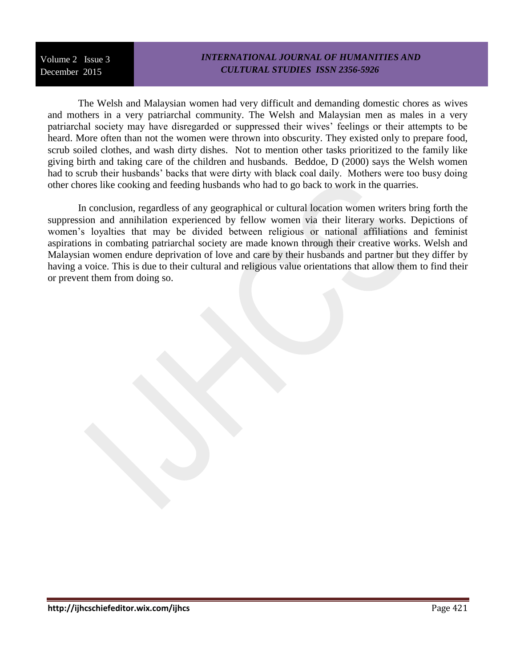### *INTERNATIONAL JOURNAL OF HUMANITIES AND CULTURAL STUDIES ISSN 2356-5926*

The Welsh and Malaysian women had very difficult and demanding domestic chores as wives and mothers in a very patriarchal community. The Welsh and Malaysian men as males in a very patriarchal society may have disregarded or suppressed their wives' feelings or their attempts to be heard. More often than not the women were thrown into obscurity. They existed only to prepare food, scrub soiled clothes, and wash dirty dishes. Not to mention other tasks prioritized to the family like giving birth and taking care of the children and husbands. Beddoe, D (2000) says the Welsh women had to scrub their husbands' backs that were dirty with black coal daily. Mothers were too busy doing other chores like cooking and feeding husbands who had to go back to work in the quarries.

In conclusion, regardless of any geographical or cultural location women writers bring forth the suppression and annihilation experienced by fellow women via their literary works. Depictions of women's loyalties that may be divided between religious or national affiliations and feminist aspirations in combating patriarchal society are made known through their creative works. Welsh and Malaysian women endure deprivation of love and care by their husbands and partner but they differ by having a voice. This is due to their cultural and religious value orientations that allow them to find their or prevent them from doing so.